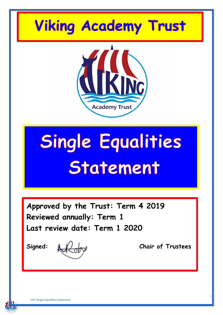



**Academy Trust** 

**Approved by the Trust: Term 4 2019 Reviewed annually: Term 1 Last review date: Term 1 2020**

**KING** 

**Signed: Chair of Trustees**

1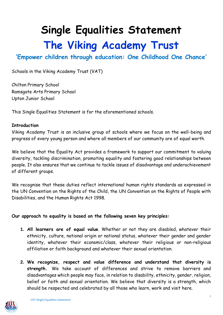**Single Equalities Statement The Viking Academy Trust**

# **'Empower children through education: One Childhood One Chance'**

Schools in the Viking Academy Trust (VAT)

Chilton Primary School Ramsgate Arts Primary School Upton Junior School

This Single Equalities Statement is for the aforementioned schools.

#### **Introduction**

Viking Academy Trust is an inclusive group of schools where we focus on the well-being and progress of every young person and where all members of our community are of equal worth.

We believe that the Equality Act provides a framework to support our commitment to valuing diversity, tackling discrimination, promoting equality and fostering good relationships between people. It also ensures that we continue to tackle issues of disadvantage and underachievement of different groups.

We recognise that these duties reflect international human rights standards as expressed in the UN Convention on the Rights of the Child, the UN Convention on the Rights of People with Disabilities, and the Human Rights Act 1998.

#### **Our approach to equality is based on the following seven key principles:**

- **1. All learners are of equal value**. Whether or not they are disabled, whatever their ethnicity, culture, national origin or national status, whatever their gender and gender identity, whatever their economic/class, whatever their religious or non-religious affiliation or faith background and whatever their sexual orientation.
- **2. We recognize, respect and value difference and understand that diversity is strength.** We take account of differences and strive to remove barriers and disadvantages which people may face, in relation to disability, ethnicity, gender, religion, belief or faith and sexual orientation. We believe that diversity is a strength, which should be respected and celebrated by all those who learn, work and visit here.

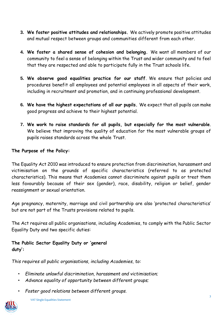- **3. We foster positive attitudes and relationships.** We actively promote positive attitudes and mutual respect between groups and communities different from each other.
- **4. We foster a shared sense of cohesion and belonging.** We want all members of our community to feel a sense of belonging within the Trust and wider community and to feel that they are respected and able to participate fully in the Trust schools life.
- **5. We observe good equalities practice for our staff**. We ensure that policies and procedures benefit all employees and potential employees in all aspects of their work, including in recruitment and promotion, and in continuing professional development.
- **6. We have the highest expectations of all our pupils.** We expect that all pupils can make good progress and achieve to their highest potential.
- **7. We work to raise standards for all pupils, but especially for the most vulnerable**. We believe that improving the quality of education for the most vulnerable groups of pupils raises standards across the whole Trust.

## **The Purpose of the Policy:**

The Equality Act 2010 was introduced to ensure protection from discrimination, harassment and victimisation on the grounds of specific characteristics (referred to as protected characteristics). This means that Academies cannot discriminate against pupils or treat them less favourably because of their sex (gender), race, disability, religion or belief, gender reassignment or sexual orientation.

Age pregnancy, maternity, marriage and civil partnership are also 'protected characteristics' but are not part of the Trusts provisions related to pupils.

The Act requires all public organisations, including Academies, to comply with the Public Sector Equality Duty and two specific duties:

# **The Public Sector Equality Duty or 'general duty':**

*This requires all public organisations, including Academies, to:* 

- *Eliminate unlawful discrimination, harassment and victimisation;*
- *Advance equality of opportunity between different groups;*
- *Foster good relations between different groups.*

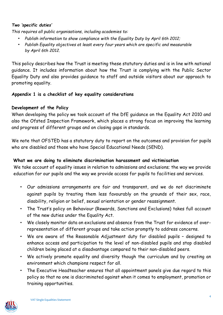## *Two 'specific duties'*

*This requires all public organisations, including academies to:* 

- *Publish information to show compliance with the Equality Duty by April 6th 2012;*
- *Publish Equality objectives at least every four years which are specific and measurable by April 6th 2012.*

This policy describes how the Trust is meeting these statutory duties and is in line with national guidance. It includes information about how the Trust is complying with the Public Sector Equality Duty and also provides guidance to staff and outside visitors about our approach to promoting equality.

# **Appendix 1 is a checklist of key equality considerations**

# **Development of the Policy**

When developing the policy we took account of the DfE guidance on the Equality Act 2010 and also the Ofsted Inspection Framework, which places a strong focus on improving the learning and progress of different groups and on closing gaps in standards.

We note that OFSTED has a statutory duty to report on the outcomes and provision for pupils who are disabled and those who have Special Educational Needs (SEND).

# **What we are doing to eliminate discrimination harassment and victimisation**

We take account of equality issues in relation to admissions and exclusions; the way we provide education for our pupils and the way we provide access for pupils to facilities and services.

- Our admissions arrangements are fair and transparent, and we do not discriminate against pupils by treating them less favourably on the grounds of their sex, race, disability, religion or belief, sexual orientation or gender reassignment.
- The Trust's policy on Behaviour (Rewards, Sanctions and Exclusions) takes full account of the new duties under the Equality Act.
- We closely monitor data on exclusions and absence from the Trust for evidence of overrepresentation of different groups and take action promptly to address concerns.
- We are aware of the Reasonable Adjustment duty for disabled pupils designed to enhance access and participation to the level of non-disabled pupils and stop disabled children being placed at a disadvantage compared to their non-disabled peers.
- We actively promote equality and diversity though the curriculum and by creating an environment which champions respect for all.
- The Executive Headteacher ensures that all appointment panels give due regard to this policy so that no one is discriminated against when it comes to employment, promotion or training opportunities.

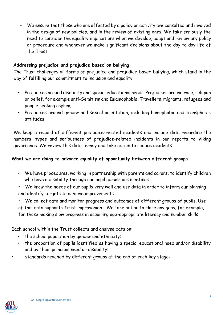• We ensure that those who are affected by a policy or activity are consulted and involved in the design of new policies, and in the review of existing ones. We take seriously the need to consider the equality implications when we develop, adapt and review any policy or procedure and whenever we make significant decisions about the day to day life of the Trust.

## **Addressing prejudice and prejudice based on bullying**

The Trust challenges all forms of prejudice and prejudice-based bullying, which stand in the way of fulfilling our commitment to inclusion and equality:

- Prejudices around disability and special educational needs. Prejudices around race, religion or belief, for example anti-Semitism and Islamophobia, Travellers, migrants, refugees and people seeking asylum;
- Prejudices around gender and sexual orientation, including homophobic and transphobic attitudes.

We keep a record of different prejudice-related incidents and include data regarding the numbers, types and seriousness of prejudice-related incidents in our reports to Viking governance. We review this data termly and take action to reduce incidents.

## **What we are doing to advance equality of opportunity between different groups**

- We have procedures, working in partnership with parents and carers, to identify children who have a disability through our pupil admissions meetings.
- We know the needs of our pupils very well and use data in order to inform our planning and identify targets to achieve improvements.

• We collect data and monitor progress and outcomes of different groups of pupils. Use of this data supports Trust improvement. We take action to close any gaps, for example, for those making slow progress in acquiring age-appropriate literacy and number skills.

Each school within the Trust collects and analyse data on:

- the school population by gender and ethnicity;
- the proportion of pupils identified as having a special educational need and/or disability and by their principal need or disability;
- standards reached by different groups at the end of each key stage:

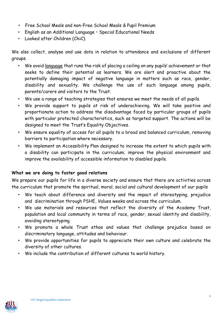- Free School Meals and non-Free School Meals & Pupil Premium
- English as an Additional Language Special Educational Needs
- Looked after Children (ChiC).

We also collect, analyse and use data in relation to attendance and exclusions of different groups.

- We avoid language that runs the risk of placing a ceiling on any pupils' achievement or that seeks to define their potential as learners. We are alert and proactive about the potentially damaging impact of negative language in matters such as race, gender, disability and sexuality. We challenge the use of such language among pupils, parents/carers and visitors to the Trust.
- We use a range of teaching strategies that ensures we meet the needs of all pupils.
- We provide support to pupils at risk of underachieving. We will take positive and proportionate action to address the disadvantage faced by particular groups of pupils with particular protected characteristics, such as targeted support. The actions will be designed to meet the Trust's Equality Objectives.
- We ensure equality of access for all pupils to a broad and balanced curriculum, removing barriers to participation where necessary.
- We implement an Accessibility Plan designed to increase the extent to which pupils with a disability can participate in the curriculum; improve the physical environment and improve the availability of accessible information to disabled pupils.

## **What we are doing to foster good relations**

We prepare our pupils for life in a diverse society and ensure that there are activities across the curriculum that promote the spiritual, moral, social and cultural development of our pupils

- We teach about difference and diversity and the impact of stereotyping, prejudice and discrimination through PSHE, Values weeks and across the curriculum.
- We use materials and resources that reflect the diversity of the Academy Trust, population and local community in terms of race, gender, sexual identity and disability, avoiding stereotyping.
- We promote a whole Trust ethos and values that challenge prejudice based on discriminatory language, attitudes and behaviour.
- We provide opportunities for pupils to appreciate their own culture and celebrate the diversity of other cultures.
- We include the contribution of different cultures to world history.

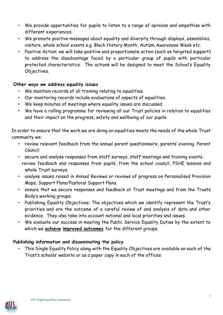- We provide opportunities for pupils to listen to a range of opinions and empathise with different experiences.
- We promote positive messages about equality and diversity through displays, assemblies, visitors, whole school events e.g. Black History Month, Autism Awareness Week etc.
- Positive Action: we will take positive and proportionate action (such as targeted support) to address the disadvantage faced by a particular group of pupils with particular protected characteristics. The actions will be designed to meet the School's Equality Objectives.

## **Other ways we address equality issues**

- We maintain records of all training relating to equalities.
- Our monitoring records include evaluations of aspects of equalities.
- We keep minutes of meetings where equality issues are discussed.
- We have a rolling programme for reviewing all our Trust policies in relation to equalities and their impact on the progress, safety and wellbeing of our pupils.

In order to ensure that the work we are doing on equalities meets the needs of the whole Trust community we:

- review relevant feedback from the annual parent questionnaire, parents' evening, Parent Council
- secure and analyse responses from staff surveys, staff meetings and training events. review feedback and responses from pupils, from the school council, PSHE lessons and whole Trust surveys.
- analyse issues raised in Annual Reviews or reviews of progress on Personalised Provision Maps, Support Plans/Pastoral Support Plans.
- ensure that we secure responses and feedback at Trust meetings and from the Trusts Body's working groups.
- Publishing Equality Objectives: The objectives which we identify represent the Trust's priorities and are the outcome of a careful review of and analysis of data and other evidence. They also take into account national and local priorities and issues.
- We evaluate our success in meeting the Public Service Equality Duties by the extent to which we **achieve improved outcomes** for the different groups.

# **Publishing information and disseminating the policy**

• This Single Equality Policy along with the Equality Objectives are available on each of the Trust's schools' website or as a paper copy in each of the offices.

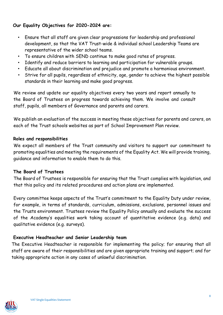# **Our Equality Objectives for 2020-2024 are:**

- Ensure that all staff are given clear progressions for leadership and professional development, so that the VAT Trust-wide & individual school Leadership Teams are representative of the wider school teams.
- To ensure children with SEND continue to make good rates of progress.
- Identify and reduce barriers to learning and participation for vulnerable groups.
- Educate all about discrimination and prejudice and promote a harmonious environment.
- Strive for all pupils, regardless of ethnicity, age, gender to achieve the highest possible standards in their learning and make good progress.

We review and update our equality objectives every two years and report annually to the Board of Trustees on progress towards achieving them. We involve and consult staff, pupils, all members of Governance and parents and carers.

We publish an evaluation of the success in meeting these objectives for parents and carers, on each of the Trust schools websites as part of School Improvement Plan review.

#### **Roles and responsibilities**

We expect all members of the Trust community and visitors to support our commitment to promoting equalities and meeting the requirements of the Equality Act. We will provide training, guidance and information to enable them to do this.

#### **The Board of Trustees**

The Board of Trustees is responsible for ensuring that the Trust complies with legislation, and that this policy and its related procedures and action plans are implemented.

Every committee keeps aspects of the Trust's commitment to the Equality Duty under review, for example, in terms of standards, curriculum, admissions, exclusions, personnel issues and the Trusts environment. Trustees review the Equality Policy annually and evaluate the success of the Academy's equalities work taking account of quantitative evidence (e.g. data) and qualitative evidence (e.g. surveys).

## **Executive Headteacher and Senior Leadership team**

The Executive Headteacher is responsible for implementing the policy; for ensuring that all staff are aware of their responsibilities and are given appropriate training and support; and for taking appropriate action in any cases of unlawful discrimination.

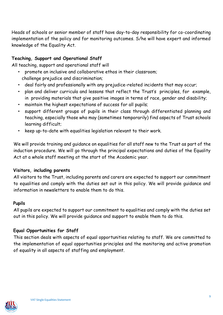Heads of schools or senior member of staff have day-to-day responsibility for co-coordinating implementation of the policy and for monitoring outcomes. S/he will have expert and informed knowledge of the Equality Act.

# **Teaching, Support and Operational Staff**

All teaching, support and operational staff will

- promote an inclusive and collaborative ethos in their classroom; challenge prejudice and discrimination;
- deal fairly and professionally with any prejudice-related incidents that may occur;
- plan and deliver curricula and lessons that reflect the Trust's principles, for example, in providing materials that give positive images in terms of race, gender and disability;
- maintain the highest expectations of success for all pupils;
- support different groups of pupils in their class through differentiated planning and teaching, especially those who may (sometimes temporarily) find aspects of Trust schools learning difficult;
- keep up-to-date with equalities legislation relevant to their work.

We will provide training and guidance on equalities for all staff new to the Trust as part of the induction procedure. We will go through the principal expectations and duties of the Equality Act at a whole staff meeting at the start of the Academic year.

#### **Visitors, including parents**

All visitors to the Trust, including parents and carers are expected to support our commitment to equalities and comply with the duties set out in this policy. We will provide guidance and information in newsletters to enable them to do this.

#### **Pupils**

All pupils are expected to support our commitment to equalities and comply with the duties set out in this policy. We will provide guidance and support to enable them to do this.

## **Equal Opportunities for Staff**

This section deals with aspects of equal opportunities relating to staff. We are committed to the implementation of equal opportunities principles and the monitoring and active promotion of equality in all aspects of staffing and employment.

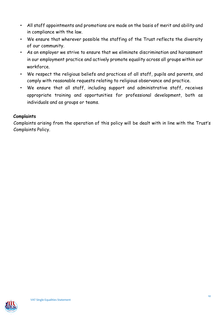- All staff appointments and promotions are made on the basis of merit and ability and in compliance with the law.
- We ensure that wherever possible the staffing of the Trust reflects the diversity of our community.
- As an employer we strive to ensure that we eliminate discrimination and harassment in our employment practice and actively promote equality across all groups within our workforce.
- We respect the religious beliefs and practices of all staff, pupils and parents, and comply with reasonable requests relating to religious observance and practice.
- We ensure that all staff, including support and administrative staff, receives appropriate training and opportunities for professional development, both as individuals and as groups or teams.

# **Complaints**

Complaints arising from the operation of this policy will be dealt with in line with the Trust's Complaints Policy.

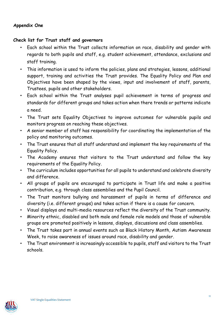## **Appendix One**

#### **Check list for Trust staff and governors**

- Each school within the Trust collects information on race, disability and gender with regards to both pupils and staff, e.g. student achievement, attendance, exclusions and staff training.
- This information is used to inform the policies, plans and strategies, lessons, additional support, training and activities the Trust provides. The Equality Policy and Plan and Objectives have been shaped by the views, input and involvement of staff, parents, Trustees, pupils and other stakeholders.
- Each school within the Trust analyses pupil achievement in terms of progress and standards for different groups and takes action when there trends or patterns indicate a need.
- The Trust sets Equality Objectives to improve outcomes for vulnerable pupils and monitors progress on reaching these objectives.
- A senior member of staff has responsibility for coordinating the implementation of the policy and monitoring outcomes.
- The Trust ensures that all staff understand and implement the key requirements of the Equality Policy.
- The Academy ensures that visitors to the Trust understand and follow the key requirements of the Equality Policy.
- The curriculum includes opportunities for all pupils to understand and celebrate diversity and difference.
- All groups of pupils are encouraged to participate in Trust life and make a positive contribution, e.g. through class assemblies and the Pupil Council.
- The Trust monitors bullying and harassment of pupils in terms of difference and diversity (i.e. different groups) and takes action if there is a cause for concern.
- Visual displays and multi-media resources reflect the diversity of the Trust community.
- Minority ethnic, disabled and both male and female role models and those of vulnerable groups are promoted positively in lessons, displays, discussions and class assemblies.
- The Trust takes part in annual events such as Black History Month, Autism Awareness Week, to raise awareness of issues around race, disability and gender.
- The Trust environment is increasingly accessible to pupils, staff and visitors to the Trust schools.